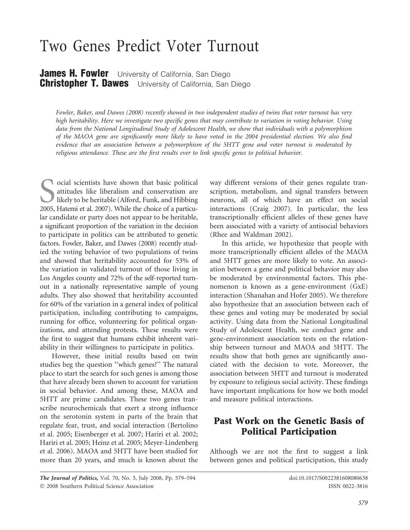# Two Genes Predict Voter Turnout

James H. Fowler University of California, San Diego **Christopher T. Dawes** University of California, San Diego

Fowler, Baker, and Dawes (2008) recently showed in two independent studies of twins that voter turnout has very high heritability. Here we investigate two specific genes that may contribute to variation in voting behavior. Using data from the National Longitudinal Study of Adolescent Health, we show that individuals with a polymorphism of the MAOA gene are significantly more likely to have voted in the 2004 presidential election. We also find evidence that an association between a polymorphism of the 5HTT gene and voter turnout is moderated by religious attendance. These are the first results ever to link specific genes to political behavior.

Social scientists have shown that basic political<br>attitudes like liberalism and conservatism are<br>likely to be heritable (Alford, Funk, and Hibbing<br>2005. Hatemi et al. 2007). While the choice of a particuattitudes like liberalism and conservatism are likely to be heritable (Alford, Funk, and Hibbing 2005, Hatemi et al. 2007). While the choice of a particular candidate or party does not appear to be heritable, a significant proportion of the variation in the decision to participate in politics can be attributed to genetic factors. Fowler, Baker, and Dawes (2008) recently studied the voting behavior of two populations of twins and showed that heritability accounted for 53% of the variation in validated turnout of those living in Los Angeles county and 72% of the self-reported turnout in a nationally representative sample of young adults. They also showed that heritability accounted for 60% of the variation in a general index of political participation, including contributing to campaigns, running for office, volunteering for political organizations, and attending protests. These results were the first to suggest that humans exhibit inherent variability in their willingness to participate in politics.

However, these initial results based on twin studies beg the question ''which genes?'' The natural place to start the search for such genes is among those that have already been shown to account for variation in social behavior. And among these, MAOA and 5HTT are prime candidates. These two genes transcribe neurochemicals that exert a strong influence on the serotonin system in parts of the brain that regulate fear, trust, and social interaction (Bertolino et al. 2005; Eisenberger et al. 2007; Hariri et al. 2002; Hariri et al. 2005; Heinz et al. 2005; Meyer-Lindenberg et al. 2006). MAOA and 5HTT have been studied for more than 20 years, and much is known about the way different versions of their genes regulate transcription, metabolism, and signal transfers between neurons, all of which have an effect on social interactions (Craig 2007). In particular, the less transcriptionally efficient alleles of these genes have been associated with a variety of antisocial behaviors (Rhee and Waldman 2002).

In this article, we hypothesize that people with more transcriptionally efficient alleles of the MAOA and 5HTT genes are more likely to vote. An association between a gene and political behavior may also be moderated by environmental factors. This phenomenon is known as a gene-environment (GxE) interaction (Shanahan and Hofer 2005). We therefore also hypothesize that an association between each of these genes and voting may be moderated by social activity. Using data from the National Longitudinal Study of Adolescent Health, we conduct gene and gene-environment association tests on the relationship between turnout and MAOA and 5HTT. The results show that both genes are significantly associated with the decision to vote. Moreover, the association between 5HTT and turnout is moderated by exposure to religious social activity. These findings have important implications for how we both model and measure political interactions.

# Past Work on the Genetic Basis of Political Participation

Although we are not the first to suggest a link between genes and political participation, this study

The Journal of Politics, Vol. 70, No. 3, July 2008, Pp. 579-594 doi:10.1017/S0022381608080638 ! 2008 Southern Political Science Association ISSN 0022-3816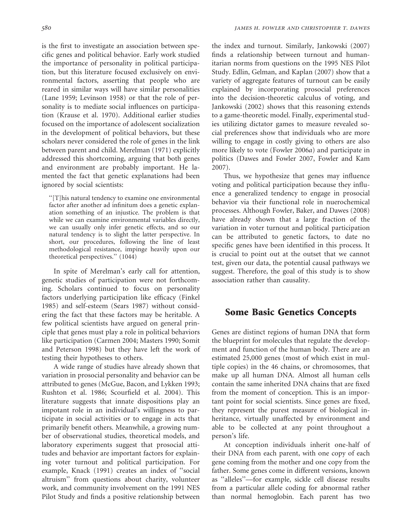is the first to investigate an association between specific genes and political behavior. Early work studied the importance of personality in political participation, but this literature focused exclusively on environmental factors, asserting that people who are reared in similar ways will have similar personalities (Lane 1959; Levinson 1958) or that the role of personality is to mediate social influences on participation (Krause et al. 1970). Additional earlier studies focused on the importance of adolescent socialization in the development of political behaviors, but these scholars never considered the role of genes in the link between parent and child. Merelman (1971) explicitly addressed this shortcoming, arguing that both genes and environment are probably important. He lamented the fact that genetic explanations had been ignored by social scientists:

''[T]his natural tendency to examine one environmental factor after another ad infinitum does a genetic explanation something of an injustice. The problem is that while we can examine environmental variables directly, we can usually only infer genetic effects, and so our natural tendency is to slight the latter perspective. In short, our procedures, following the line of least methodological resistance, impinge heavily upon our theoretical perspectives.'' (1044)

In spite of Merelman's early call for attention, genetic studies of participation were not forthcoming. Scholars continued to focus on personality factors underlying participation like efficacy (Finkel 1985) and self-esteem (Sears 1987) without considering the fact that these factors may be heritable. A few political scientists have argued on general principle that genes must play a role in political behaviors like participation (Carmen 2004; Masters 1990; Somit and Peterson 1998) but they have left the work of testing their hypotheses to others.

A wide range of studies have already shown that variation in prosocial personality and behavior can be attributed to genes (McGue, Bacon, and Lykken 1993; Rushton et al. 1986; Scourfield et al. 2004). This literature suggests that innate dispositions play an impotant role in an individual's willingness to participate in social activities or to engage in acts that primarily benefit others. Meanwhile, a growing number of observational studies, theoretical models, and laboratory experiments suggest that prosocial attitudes and behavior are important factors for explaining voter turnout and political participation. For example, Knack (1991) creates an index of ''social altruism'' from questions about charity, volunteer work, and community involvement on the 1991 NES Pilot Study and finds a positive relationship between

the index and turnout. Similarly, Jankowski (2007) finds a relationship between turnout and humanitarian norms from questions on the 1995 NES Pilot Study. Edlin, Gelman, and Kaplan (2007) show that a variety of aggregate features of turnout can be easily explained by incorporating prosocial preferences into the decision-theoretic calculus of voting, and Jankowski (2002) shows that this reasoning extends to a game-theoretic model. Finally, experimental studies utilizing dictator games to measure revealed social preferences show that individuals who are more willing to engage in costly giving to others are also more likely to vote (Fowler 2006a) and participate in politics (Dawes and Fowler 2007, Fowler and Kam 2007).

Thus, we hypothesize that genes may influence voting and political participation because they influence a generalized tendency to engage in prosocial behavior via their functional role in nuerochemical processes. Although Fowler, Baker, and Dawes (2008) have already shown that a large fraction of the variation in voter turnout and political participation can be attributed to genetic factors, to date no specific genes have been identified in this process. It is crucial to point out at the outset that we cannot test, given our data, the potential causal pathways we suggest. Therefore, the goal of this study is to show association rather than causality.

## Some Basic Genetics Concepts

Genes are distinct regions of human DNA that form the blueprint for molecules that regulate the development and function of the human body. There are an estimated 25,000 genes (most of which exist in multiple copies) in the 46 chains, or chromosomes, that make up all human DNA. Almost all human cells contain the same inherited DNA chains that are fixed from the moment of conception. This is an important point for social scientists. Since genes are fixed, they represent the purest measure of biological inheritance, virtually unaffected by environment and able to be collected at any point throughout a person's life.

At conception individuals inherit one-half of their DNA from each parent, with one copy of each gene coming from the mother and one copy from the father. Some genes come in different versions, known as ''alleles''—for example, sickle cell disease results from a particular allele coding for abnormal rather than normal hemoglobin. Each parent has two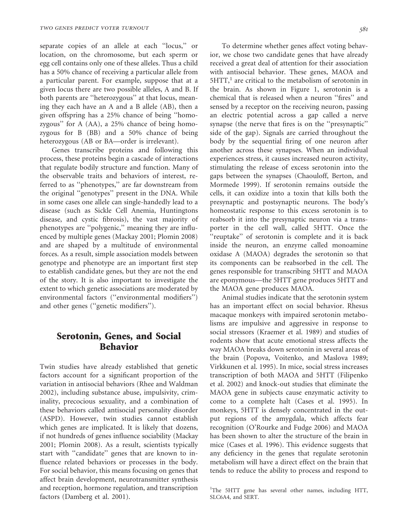separate copies of an allele at each ''locus,'' or location, on the chromosome, but each sperm or egg cell contains only one of these alleles. Thus a child has a 50% chance of receiving a particular allele from a particular parent. For example, suppose that at a given locus there are two possible alleles, A and B. If both parents are ''heterozygous'' at that locus, meaning they each have an A and a B allele (AB), then a given offspring has a 25% chance of being ''homozygous'' for A (AA), a 25% chance of being homozygous for B (BB) and a 50% chance of being heterozygous (AB or BA—order is irrelevant).

Genes transcribe proteins and following this process, these proteins begin a cascade of interactions that regulate bodily structure and function. Many of the observable traits and behaviors of interest, referred to as ''phenotypes,'' are far downstream from the original ''genotypes'' present in the DNA. While in some cases one allele can single-handedly lead to a disease (such as Sickle Cell Anemia, Huntingtons disease, and cystic fibrosis), the vast majority of phenotypes are ''polygenic,'' meaning they are influenced by multiple genes (Mackay 2001; Plomin 2008) and are shaped by a multitude of environmental forces. As a result, simple association models between genotype and phenotype are an important first step to establish candidate genes, but they are not the end of the story. It is also important to investigate the extent to which genetic associations are moderated by environmental factors (''environmental modifiers'') and other genes (''genetic modifiers'').

# Serotonin, Genes, and Social Behavior

Twin studies have already established that genetic factors account for a significant proportion of the variation in antisocial behaviors (Rhee and Waldman 2002), including substance abuse, impulsivity, criminality, precocious sexuality, and a combination of these behaviors called antisocial personality disorder (ASPD). However, twin studies cannot establish which genes are implicated. It is likely that dozens, if not hundreds of genes influence sociability (Mackay 2001; Plomin 2008). As a result, scientists typically start with ''candidate'' genes that are known to influence related behaviors or processes in the body. For social behavior, this means focusing on genes that affect brain development, neurotransmitter synthesis and reception, hormone regulation, and transcription factors (Damberg et al. 2001).

To determine whether genes affect voting behavior, we chose two candidate genes that have already received a great deal of attention for their association with antisocial behavior. These genes, MAOA and  $5HTT$ ,<sup>1</sup> are critical to the metabolism of serotonin in the brain. As shown in Figure 1, serotonin is a chemical that is released when a neuron ''fires'' and sensed by a receptor on the receiving neuron, passing an electric potential across a gap called a nerve synapse (the nerve that fires is on the ''presynaptic'' side of the gap). Signals are carried throughout the body by the sequential firing of one neuron after another across these synapses. When an individual experiences stress, it causes increased neuron activity, stimulating the release of excess serotonin into the gaps between the synapses (Chaouloff, Berton, and Mormede 1999). If serotonin remains outside the cells, it can oxidize into a toxin that kills both the presynaptic and postsynaptic neurons. The body's homeostatic response to this excess serotonin is to reabsorb it into the presynaptic neuron via a transporter in the cell wall, called 5HTT. Once the "reuptake" of serotonin is complete and it is back inside the neuron, an enzyme called monoamine oxidase A (MAOA) degrades the serotonin so that its components can be reabsorbed in the cell. The genes responsible for transcribing 5HTT and MAOA are eponymous—the 5HTT gene produces 5HTT and the MAOA gene produces MAOA.

Animal studies indicate that the serotonin system has an important effect on social behavior. Rhesus macaque monkeys with impaired serotonin metabolisms are impulsive and aggressive in response to social stressors (Kraemer et al. 1989) and studies of rodents show that acute emotional stress affects the way MAOA breaks down serotonin in several areas of the brain (Popova, Voitenko, and Maslova 1989; Virkkunen et al. 1995). In mice, social stress increases transcription of both MAOA and 5HTT (Filipenko et al. 2002) and knock-out studies that eliminate the MAOA gene in subjects cause enzymatic activity to come to a complete halt (Cases et al. 1995). In monkeys, 5HTT is densely concentrated in the output regions of the amygdala, which affects fear recognition (O'Rourke and Fudge 2006) and MAOA has been shown to alter the structure of the brain in mice (Cases et al. 1996). This evidence suggests that any deficiency in the genes that regulate serotonin metabolism will have a direct effect on the brain that tends to reduce the ability to process and respond to

<sup>&</sup>lt;sup>1</sup>The 5HTT gene has several other names, including HTT, SLC6A4, and SERT.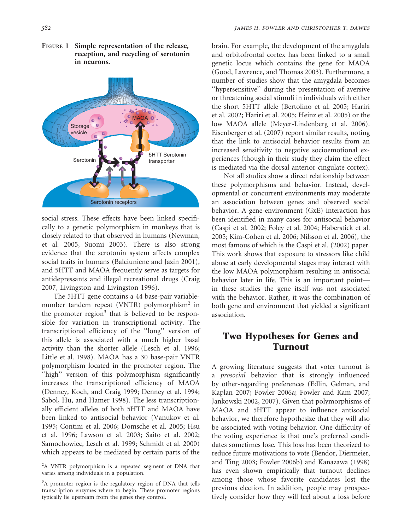FIGURE 1 Simple representation of the release, reception, and recycling of serotonin in neurons.



social stress. These effects have been linked specifically to a genetic polymorphism in monkeys that is closely related to that observed in humans (Newman, et al. 2005, Suomi 2003). There is also strong evidence that the serotonin system affects complex social traits in humans (Balciuniene and Jazin 2001), and 5HTT and MAOA frequently serve as targets for antidepressants and illegal recreational drugs (Craig 2007, Livingston and Livingston 1996).

The 5HTT gene contains a 44 base-pair variablenumber tandem repeat (VNTR) polymorphism<sup>2</sup> in the promoter region<sup>3</sup> that is believed to be responsible for variation in transcriptional activity. The transcriptional efficiency of the ''long'' version of this allele is associated with a much higher basal activity than the shorter allele (Lesch et al. 1996; Little et al. 1998). MAOA has a 30 base-pair VNTR polymorphism located in the promoter region. The "high" version of this polymorphism significantly increases the transcriptional efficiency of MAOA (Denney, Koch, and Craig 1999; Denney et al. 1994; Sabol, Hu, and Hamer 1998). The less transcriptionally efficient alleles of both 5HTT and MAOA have been linked to antisocial behavior (Vanukov et al. 1995; Contini et al. 2006; Domsche et al. 2005; Hsu et al. 1996; Lawson et al. 2003; Saito et al. 2002; Samochowiec, Lesch et al. 1999; Schmidt et al. 2000) which appears to be mediated by certain parts of the

brain. For example, the development of the amygdala and orbitofrontal cortex has been linked to a small genetic locus which contains the gene for MAOA (Good, Lawrence, and Thomas 2003). Furthermore, a number of studies show that the amygdala becomes ''hypersensitive'' during the presentation of aversive or threatening social stimuli in individuals with either the short 5HTT allele (Bertolino et al. 2005; Hariri et al. 2002; Hariri et al. 2005; Heinz et al. 2005) or the low MAOA allele (Meyer-Lindenberg et al. 2006). Eisenberger et al. (2007) report similar results, noting that the link to antisocial behavior results from an increased sensitivity to negative socioemotional experiences (though in their study they claim the effect is mediated via the dorsal anterior cingulate cortex).

Not all studies show a direct relationship between these polymorphisms and behavior. Instead, developmental or concurrent environments may moderate an association between genes and observed social behavior. A gene-environment (GxE) interaction has been identified in many cases for antisocial behavior (Caspi et al. 2002; Foley et al. 2004; Haberstick et al. 2005; Kim-Cohen et al. 2006; Nilsson et al. 2006), the most famous of which is the Caspi et al. (2002) paper. This work shows that exposure to stressors like child abuse at early developmental stages may interact with the low MAOA polymorphism resulting in antisocial behavior later in life. This is an important point in these studies the gene itself was not associated with the behavior. Rather, it was the combination of both gene and environment that yielded a significant association.

# Two Hypotheses for Genes and Turnout

A growing literature suggests that voter turnout is a prosocial behavior that is strongly influenced by other-regarding preferences (Edlin, Gelman, and Kaplan 2007; Fowler 2006a; Fowler and Kam 2007; Jankowski 2002, 2007). Given that polymorphisms of MAOA and 5HTT appear to influence antisocial behavior, we therefore hypothesize that they will also be associated with voting behavior. One difficulty of the voting experience is that one's preferred candidates sometimes lose. This loss has been theorized to reduce future motivations to vote (Bendor, Diermeier, and Ting 2003; Fowler 2006b) and Kanazawa (1998) has even shown empirically that turnout declines among those whose favorite candidates lost the previous election. In addition, people may prospectively consider how they will feel about a loss before

<sup>&</sup>lt;sup>2</sup>A VNTR polymorphism is a repeated segment of DNA that varies among individuals in a population.

<sup>&</sup>lt;sup>3</sup>A promoter region is the regulatory region of DNA that tells transcription enzymes where to begin. These promoter regions typically lie upstream from the genes they control.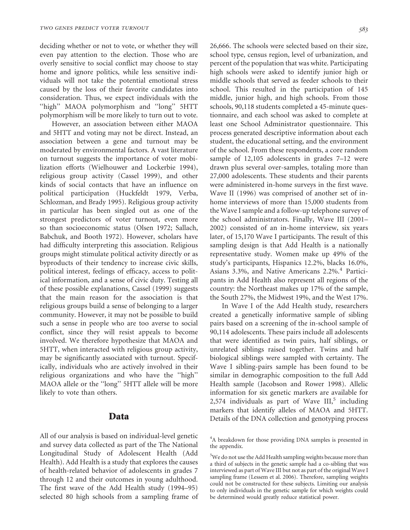deciding whether or not to vote, or whether they will even pay attention to the election. Those who are overly sensitive to social conflict may choose to stay home and ignore politics, while less sensitive individuals will not take the potential emotional stress caused by the loss of their favorite candidates into consideration. Thus, we expect individuals with the ''high'' MAOA polymorphism and ''long'' 5HTT polymorphism will be more likely to turn out to vote.

However, an association between either MAOA and 5HTT and voting may not be direct. Instead, an association between a gene and turnout may be moderated by environmental factors. A vast literature on turnout suggests the importance of voter mobilization efforts (Wielhouwer and Lockerbie 1994), religious group activity (Cassel 1999), and other kinds of social contacts that have an influence on political participation (Huckfeldt 1979, Verba, Schlozman, and Brady 1995). Religious group activity in particular has been singled out as one of the strongest predictors of voter turnout, even more so than socioeconomic status (Olsen 1972; Sallach, Babchuk, and Booth 1972). However, scholars have had difficulty interpreting this association. Religious groups might stimulate political activity directly or as byproducts of their tendency to increase civic skills, political interest, feelings of efficacy, access to political information, and a sense of civic duty. Testing all of these possible explanations, Cassel (1999) suggests that the main reason for the association is that religious groups build a sense of belonging to a larger community. However, it may not be possible to build such a sense in people who are too averse to social conflict, since they will resist appeals to become involved. We therefore hypothesize that MAOA and 5HTT, when interacted with religious group activity, may be significantly associated with turnout. Specifically, individuals who are actively involved in their religious organizations and who have the ''high'' MAOA allele or the ''long'' 5HTT allele will be more likely to vote than others.

#### Data

All of our analysis is based on individual-level genetic and survey data collected as part of the The National Longitudinal Study of Adolescent Health (Add Health). Add Health is a study that explores the causes of health-related behavior of adolescents in grades 7 through 12 and their outcomes in young adulthood. The first wave of the Add Health study (1994–95) selected 80 high schools from a sampling frame of 26,666. The schools were selected based on their size, school type, census region, level of urbanization, and percent of the population that was white. Participating high schools were asked to identify junior high or middle schools that served as feeder schools to their school. This resulted in the participation of 145 middle, junior high, and high schools. From those schools, 90,118 students completed a 45-minute questionnaire, and each school was asked to complete at least one School Administrator questionnaire. This process generated descriptive information about each student, the educational setting, and the environment of the school. From these respondents, a core random sample of 12,105 adolescents in grades 7–12 were drawn plus several over-samples, totaling more than 27,000 adolescents. These students and their parents were administered in-home surveys in the first wave. Wave II (1996) was comprised of another set of inhome interviews of more than 15,000 students from the Wave I sample and a follow-up telephone survey of the school administrators. Finally, Wave III (2001– 2002) consisted of an in-home interview, six years later, of 15,170 Wave I participants. The result of this sampling design is that Add Health is a nationally representative study. Women make up 49% of the study's participants, Hispanics 12.2%, blacks 16.0%, Asians 3.3%, and Native Americans 2.2%.4 Participants in Add Health also represent all regions of the country: the Northeast makes up 17% of the sample, the South 27%, the Midwest 19%, and the West 17%.

In Wave I of the Add Health study, researchers created a genetically informative sample of sibling pairs based on a screening of the in-school sample of 90,114 adolescents. These pairs include all adolescents that were identified as twin pairs, half siblings, or unrelated siblings raised together. Twins and half biological siblings were sampled with certainty. The Wave I sibling-pairs sample has been found to be similar in demographic composition to the full Add Health sample (Jacobson and Rower 1998). Allelic information for six genetic markers are available for 2,574 individuals as part of Wave  $III$ <sup>5</sup> including markers that identify alleles of MAOA and 5HTT. Details of the DNA collection and genotyping process

<sup>&</sup>lt;sup>4</sup>A breakdown for those providing DNA samples is presented in the appendix.

<sup>&</sup>lt;sup>5</sup>We do not use the Add Health sampling weights because more than a third of subjects in the genetic sample had a co-sibling that was interviewed as part of Wave III but not as part of the original Wave I sampling frame (Lessem et al. 2006). Therefore, sampling weights could not be constructed for these subjects. Limiting our analysis to only individuals in the genetic sample for which weights could be determined would greatly reduce statistical power.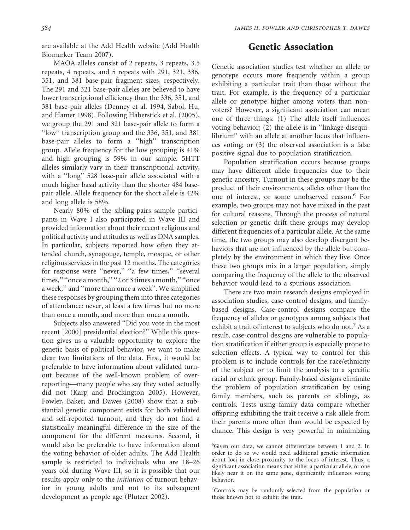are available at the Add Health website (Add Health Biomarker Team 2007).

MAOA alleles consist of 2 repeats, 3 repeats, 3.5 repeats, 4 repeats, and 5 repeats with 291, 321, 336, 351, and 381 base-pair fragment sizes, respectively. The 291 and 321 base-pair alleles are believed to have lower transcriptional efficiency than the 336, 351, and 381 base-pair alleles (Denney et al. 1994, Sabol, Hu, and Hamer 1998). Following Haberstick et al. (2005), we group the 291 and 321 base-pair allele to form a ''low'' transcription group and the 336, 351, and 381 base-pair alleles to form a ''high'' transcription group. Allele frequency for the low grouping is 41% and high grouping is 59% in our sample. 5HTT alleles similarly vary in their transcriptional activity, with a ''long'' 528 base-pair allele associated with a much higher basal activity than the shorter 484 basepair allele. Allele frequency for the short allele is 42% and long allele is 58%.

Nearly 80% of the sibling-pairs sample participants in Wave I also participated in Wave III and provided information about their recent religious and political activity and attitudes as well as DNA samples. In particular, subjects reported how often they attended church, synagouge, temple, mosque, or other religious services in the past 12 months. The categories for response were "never," "a few times," "several times," "once a month," "2 or 3 times a month," "once a week,'' and ''more than once a week''. We simplified these responses by grouping them into three categories of attendance: never, at least a few times but no more than once a month, and more than once a month.

Subjects also answered ''Did you vote in the most recent [2000] presidential election?'' While this question gives us a valuable opportunity to explore the genetic basis of political behavior, we want to make clear two limitations of the data. First, it would be preferable to have information about validated turnout because of the well-known problem of overreporting—many people who say they voted actually did not (Karp and Brockington 2005). However, Fowler, Baker, and Dawes (2008) show that a substantial genetic component exists for both validated and self-reported turnout, and they do not find a statistically meaningful difference in the size of the component for the different measures. Second, it would also be preferable to have information about the voting behavior of older adults. The Add Health sample is restricted to individuals who are 18–26 years old during Wave III, so it is possible that our results apply only to the initiation of turnout behavior in young adults and not to its subsequent development as people age (Plutzer 2002).

## Genetic Association

Genetic association studies test whether an allele or genotype occurs more frequently within a group exhibiting a particular trait than those without the trait. For example, is the frequency of a particular allele or genotype higher among voters than nonvoters? However, a significant association can mean one of three things: (1) The allele itself influences voting behavior; (2) the allele is in ''linkage disequilibrium'' with an allele at another locus that influences voting; or (3) the observed association is a false positive signal due to population stratification.

Population stratification occurs because groups may have different allele frequencies due to their genetic ancestry. Turnout in these groups may be the product of their environments, alleles other than the one of interest, or some unobserved reason.<sup>6</sup> For example, two groups may not have mixed in the past for cultural reasons. Through the process of natural selection or genetic drift these groups may develop different frequencies of a particular allele. At the same time, the two groups may also develop divergent behaviors that are not influenced by the allele but completely by the environment in which they live. Once these two groups mix in a larger population, simply comparing the frequency of the allele to the observed behavior would lead to a spurious association.

There are two main research designs employed in association studies, case-control designs, and familybased designs. Case-control designs compare the frequency of alleles or genotypes among subjects that exhibit a trait of interest to subjects who do not.<sup>7</sup> As a result, case-control designs are vulnerable to population stratification if either group is especially prone to selection effects. A typical way to control for this problem is to include controls for the race/ethnicity of the subject or to limit the analysis to a specific racial or ethnic group. Family-based designs eliminate the problem of population stratification by using family members, such as parents or siblings, as controls. Tests using family data compare whether offspring exhibiting the trait receive a risk allele from their parents more often than would be expected by chance. This design is very powerful in minimizing

<sup>6</sup> Given our data, we cannot differentiate between 1 and 2. In order to do so we would need additional genetic information about loci in close proximity to the locus of interest. Thus, a significant association means that either a particular allele, or one likely near it on the same gene, significantly influences voting behavior.

<sup>&</sup>lt;sup>7</sup>Controls may be randomly selected from the population or those known not to exhibit the trait.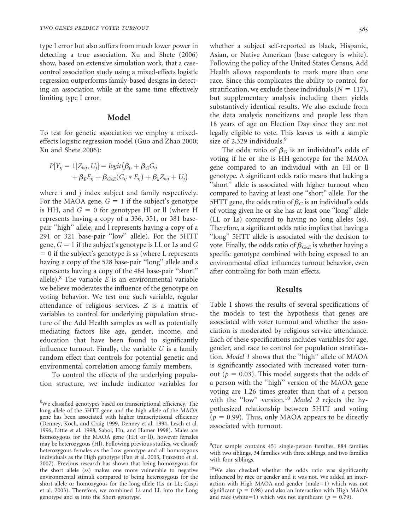type I error but also suffers from much lower power in detecting a true association. Xu and Shete (2006) show, based on extensive simulation work, that a casecontrol association study using a mixed-effects logistic regression outperforms family-based designs in detecting an association while at the same time effectively limiting type I error.

### Model

To test for genetic association we employ a mixedeffects logistic regression model (Guo and Zhao 2000; Xu and Shete 2006):

$$
P[Y_{ij} = 1 | Z_{kij}, U_j] = logit(\beta_0 + \beta_G G_{ij} + \beta_E E_{ij} + \beta_{GxE}(G_{ij} * E_{ij}) + \beta_k Z_{kij} + U_j)
$$

where  $i$  and  $j$  index subject and family respectively. For the MAOA gene,  $G = 1$  if the subject's genotype is HH, and  $G = 0$  for genotypes Hl or ll (where H represents having a copy of a 336, 351, or 381 basepair ''high'' allele, and l represents having a copy of a 291 or 321 base-pair ''low'' allele). For the 5HTT gene,  $G = 1$  if the subject's genotype is LL or Ls and  $G$  $= 0$  if the subject's genotype is ss (where L represents having a copy of the 528 base-pair ''long'' allele and s represents having a copy of the 484 base-pair ''short'' allele). $8$  The variable E is an environmental variable we believe moderates the influence of the genotype on voting behavior. We test one such variable, regular attendance of religious services. Z is a matrix of variables to control for underlying population structure of the Add Health samples as well as potentially mediating factors like age, gender, income, and education that have been found to significantly influence turnout. Finally, the variable  $U$  is a family random effect that controls for potential genetic and environmental correlation among family members.

To control the effects of the underlying population structure, we include indicator variables for

whether a subject self-reported as black, Hispanic, Asian, or Native American (base category is white). Following the policy of the United States Census, Add Health allows respondents to mark more than one race. Since this complicates the ability to control for stratification, we exclude these individuals ( $N = 117$ ), but supplementary analysis including them yields substantively identical results. We also exclude from the data analysis noncitizens and people less than 18 years of age on Election Day since they are not legally eligible to vote. This leaves us with a sample size of 2,329 individuals.<sup>9</sup>

The odds ratio of  $\beta_G$  is an individual's odds of voting if he or she is HH genotype for the MAOA gene compared to an individual with an Hl or ll genotype. A significant odds ratio means that lacking a "short" allele is associated with higher turnout when compared to having at least one ''short'' allele. For the 5HTT gene, the odds ratio of  $\beta_G$  is an individual's odds of voting given he or she has at least one ''long'' allele (LL or Ls) compared to having no long alleles (ss). Therefore, a significant odds ratio implies that having a ''long'' 5HTT allele is associated with the decision to vote. Finally, the odds ratio of  $\beta_{GxE}$  is whether having a specific genotype combined with being exposed to an environmental effect influences turnout behavior, even after controling for both main effects.

#### Results

Table 1 shows the results of several specifications of the models to test the hypothesis that genes are associated with voter turnout and whether the association is moderated by religious service attendance. Each of these specifications includes variables for age, gender, and race to control for population stratification. Model 1 shows that the ''high'' allele of MAOA is significantly associated with increased voter turnout ( $p = 0.03$ ). This model suggests that the odds of a person with the ''high'' version of the MAOA gene voting are 1.26 times greater than that of a person with the "low" version.<sup>10</sup> Model 2 rejects the hypothesized relationship between 5HTT and voting  $(p = 0.99)$ . Thus, only MAOA appears to be directly associated with turnout.

<sup>&</sup>lt;sup>8</sup>We classified genotypes based on transcriptional efficiency. The long allele of the 5HTT gene and the high allele of the MAOA gene has been associated with higher transcriptional efficiency (Denney, Koch, and Craig 1999, Denney et al. 1994, Lesch et al. 1996, Little et al. 1998, Sabol, Hu, and Hamer 1998). Males are homozygous for the MAOA gene (HH or ll), however females may be heterozygous (Hl). Following previous studies, we classify heterozygous females as the Low genotype and all homozygous individuals as the High genotype (Fan et al. 2003, Frazzetto et al. 2007). Previous research has shown that being homozygous for the short allele (ss) makes one more vulnerable to negative environmental stimuli compared to being heterozygous for the short allele or homozygous for the long allele (Ls or LL; Caspi et al. 2003). Therefore, we combined Ls and LL into the Long genotype and ss into the Short genotype.

<sup>9</sup> Our sample contains 451 single-person families, 884 families with two siblings, 34 families with three siblings, and two families with four siblings.

<sup>&</sup>lt;sup>10</sup>We also checked whether the odds ratio was significantly influenced by race or gender and it was not. We added an interaction with High MAOA and gender  $(male=1)$  which was not significant ( $p = 0.98$ ) and also an interaction with High MAOA and race (white=1) which was not significant ( $p = 0.79$ ).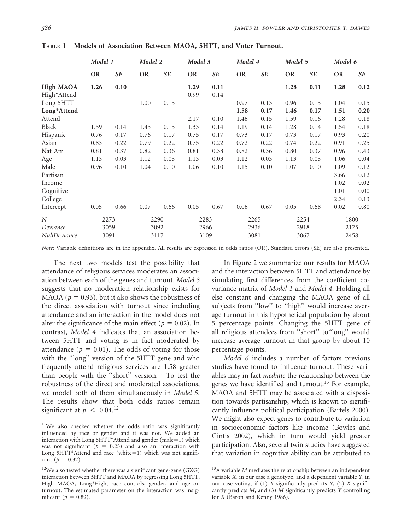|                  | Model 1   |      | Model 2 |      | Model 3 |      | Model 4   |      | Model 5   |      | Model 6   |      |
|------------------|-----------|------|---------|------|---------|------|-----------|------|-----------|------|-----------|------|
|                  | <b>OR</b> | SE   | OR      | SE   | OR      | SE   | <b>OR</b> | SE   | <b>OR</b> | SE   | <b>OR</b> | SE   |
| <b>High MAOA</b> | 1.26      | 0.10 |         |      | 1.29    | 0.11 |           |      | 1.28      | 0.11 | 1.28      | 0.12 |
| High*Attend      |           |      |         |      | 0.99    | 0.14 |           |      |           |      |           |      |
| Long 5HTT        |           |      | 1.00    | 0.13 |         |      | 0.97      | 0.13 | 0.96      | 0.13 | 1.04      | 0.15 |
| Long*Attend      |           |      |         |      |         |      | 1.58      | 0.17 | 1.46      | 0.17 | 1.51      | 0.20 |
| Attend           |           |      |         |      | 2.17    | 0.10 | 1.46      | 0.15 | 1.59      | 0.16 | 1.28      | 0.18 |
| Black            | 1.59      | 0.14 | 1.45    | 0.13 | 1.33    | 0.14 | 1.19      | 0.14 | 1.28      | 0.14 | 1.54      | 0.18 |
| Hispanic         | 0.76      | 0.17 | 0.76    | 0.17 | 0.75    | 0.17 | 0.73      | 0.17 | 0.73      | 0.17 | 0.93      | 0.20 |
| Asian            | 0.83      | 0.22 | 0.79    | 0.22 | 0.75    | 0.22 | 0.72      | 0.22 | 0.74      | 0.22 | 0.91      | 0.25 |
| Nat Am           | 0.81      | 0.37 | 0.82    | 0.36 | 0.81    | 0.38 | 0.82      | 0.36 | 0.80      | 0.37 | 0.96      | 0.43 |
| Age              | 1.13      | 0.03 | 1.12    | 0.03 | 1.13    | 0.03 | 1.12      | 0.03 | 1.13      | 0.03 | 1.06      | 0.04 |
| Male             | 0.96      | 0.10 | 1.04    | 0.10 | 1.06    | 0.10 | 1.15      | 0.10 | 1.07      | 0.10 | 1.09      | 0.12 |
| Partisan         |           |      |         |      |         |      |           |      |           |      | 3.66      | 0.12 |
| Income           |           |      |         |      |         |      |           |      |           |      | 1.02      | 0.02 |
| Cognitive        |           |      |         |      |         |      |           |      |           |      | 1.01      | 0.00 |
| College          |           |      |         |      |         |      |           |      |           |      | 2.34      | 0.13 |
| Intercept        | 0.05      | 0.66 | 0.07    | 0.66 | 0.05    | 0.67 | 0.06      | 0.67 | 0.05      | 0.68 | 0.02      | 0.80 |
| $\overline{N}$   | 2273      |      | 2290    |      | 2283    |      | 2265      |      | 2254      |      | 1800      |      |
| Deviance         | 3059      |      | 3092    |      | 2966    |      | 2936      |      | 2918      |      | 2125      |      |
| NullDeviance     | 3091      |      | 3117    |      | 3109    |      | 3081      |      | 3067      |      | 2458      |      |

TABLE 1 Models of Association Between MAOA, 5HTT, and Voter Turnout.

Note: Variable definitions are in the appendix. All results are expressed in odds ratios (OR). Standard errors (SE) are also presented.

The next two models test the possibility that attendance of religious services moderates an association between each of the genes and turnout. Model 3 suggests that no moderation relationship exists for MAOA ( $p = 0.93$ ), but it also shows the robustness of the direct association with turnout since including attendance and an interaction in the model does not alter the significance of the main effect ( $p = 0.02$ ). In contrast, Model 4 indicates that an association between 5HTT and voting is in fact moderated by attendance ( $p = 0.01$ ). The odds of voting for those with the ''long'' version of the 5HTT gene and who frequently attend religious services are 1.58 greater than people with the "short" version.<sup>11</sup> To test the robustness of the direct and moderated associations, we model both of them simultaneously in Model 5. The results show that both odds ratios remain significant at  $p < 0.04$ .<sup>12</sup>

In Figure 2 we summarize our results for MAOA and the interaction between 5HTT and attendance by simulating first differences from the coefficient covariance matrix of Model 1 and Model 4. Holding all else constant and changing the MAOA gene of all subjects from "low" to "high" would increase average turnout in this hypothetical population by about 5 percentage points. Changing the 5HTT gene of all religious attendees from ''short'' to''long'' would increase average turnout in that group by about 10 percentage points.

Model 6 includes a number of factors previous studies have found to influence turnout. These variables may in fact mediate the relationship between the genes we have identified and turnout.<sup>13</sup> For example, MAOA and 5HTT may be associated with a disposition towards partisanship, which is known to significantly influence political participation (Bartels 2000). We might also expect genes to contribute to variation in socioeconomic factors like income (Bowles and Gintis 2002), which in turn would yield greater participation. Also, several twin studies have suggested that variation in cognitive ability can be attributed to

<sup>&</sup>lt;sup>11</sup>We also checked whether the odds ratio was significantly influenced by race or gender and it was not. We added an interaction with Long  $5HTT^*$ Attend and gender (male=1) which was not significant ( $p = 0.25$ ) and also an interaction with Long  $5HTT<sup>*</sup>$ Attend and race (white=1) which was not significant ( $p = 0.32$ ).

 $12$ We also tested whether there was a significant gene-gene (GXG) interaction between 5HTT and MAOA by regressing Long 5HTT, High MAOA, Long\*High, race controls, gender, and age on turnout. The estimated parameter on the interaction was insignificant ( $p = 0.89$ ).

 $13A$  variable *M* mediates the relationship between an independent variable X, in our case a genotype, and a dependent variable Y, in our case voting, if  $(1)$  X significantly predicts Y,  $(2)$  X significantly predicts  $M$ , and (3)  $\dot{M}$  significantly predicts  $Y$  controlling for  $\overline{X}$  (Baron and Kenny 1986).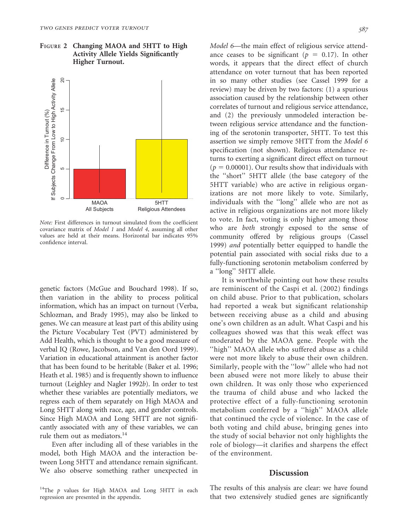

FIGURE 2 Changing MAOA and 5HTT to High Activity Allele Yields Significantly Higher Turnout.

Note: First differences in turnout simulated from the coefficient covariance matrix of Model 1 and Model 4, assuming all other values are held at their means. Horizontal bar indicates 95% confidence interval.

genetic factors (McGue and Bouchard 1998). If so, then variation in the ability to process political information, which has an impact on turnout (Verba, Schlozman, and Brady 1995), may also be linked to genes. We can measure at least part of this ability using the Picture Vocabulary Test (PVT) administered by Add Health, which is thought to be a good measure of verbal IQ (Rowe, Jacobson, and Van den Oord 1999). Variation in educational attainment is another factor that has been found to be heritable (Baker et al. 1996; Heath et al. 1985) and is frequently shown to influence turnout (Leighley and Nagler 1992b). In order to test whether these variables are potentially mediators, we regress each of them separately on High MAOA and Long 5HTT along with race, age, and gender controls. Since High MAOA and Long 5HTT are not significantly associated with any of these variables, we can rule them out as mediators.<sup>14</sup>

Even after including all of these variables in the model, both High MAOA and the interaction between Long 5HTT and attendance remain significant. We also observe something rather unexpected in

<sup>14</sup>The  $p$  values for High MAOA and Long 5HTT in each regression are presented in the appendix.

Model 6—the main effect of religious service attendance ceases to be significant ( $p = 0.17$ ). In other words, it appears that the direct effect of church attendance on voter turnout that has been reported in so many other studies (see Cassel 1999 for a review) may be driven by two factors: (1) a spurious association caused by the relationship between other correlates of turnout and religious service attendance, and (2) the previously unmodeled interaction between religious service attendance and the functioning of the serotonin transporter, 5HTT. To test this assertion we simply remove 5HTT from the Model 6 specification (not shown). Religious attendance returns to exerting a significant direct effect on turnout  $(p = 0.00001)$ . Our results show that individuals with the ''short'' 5HTT allele (the base category of the 5HTT variable) who are active in religious organizations are not more likely to vote. Similarly, individuals with the ''long'' allele who are not as active in religious organizations are not more likely to vote. In fact, voting is only higher among those who are both strongly exposed to the sense of community offered by religious groups (Cassel 1999) and potentially better equipped to handle the potential pain associated with social risks due to a fully-functioning serotonin metabolism conferred by a ''long'' 5HTT allele.

It is worthwhile pointing out how these results are reminiscent of the Caspi et al. (2002) findings on child abuse. Prior to that publication, scholars had reported a weak but significant relationship between receiving abuse as a child and abusing one's own children as an adult. What Caspi and his colleagues showed was that this weak effect was moderated by the MAOA gene. People with the "high" MAOA allele who suffered abuse as a child were not more likely to abuse their own children. Similarly, people with the ''low'' allele who had not been abused were not more likely to abuse their own children. It was only those who experienced the trauma of child abuse and who lacked the protective effect of a fully-functioning serotonin metabolism conferred by a ''high'' MAOA allele that continued the cycle of violence. In the case of both voting and child abuse, bringing genes into the study of social behavior not only highlights the role of biology—it clarifies and sharpens the effect of the environment.

#### **Discussion**

The results of this analysis are clear: we have found that two extensively studied genes are significantly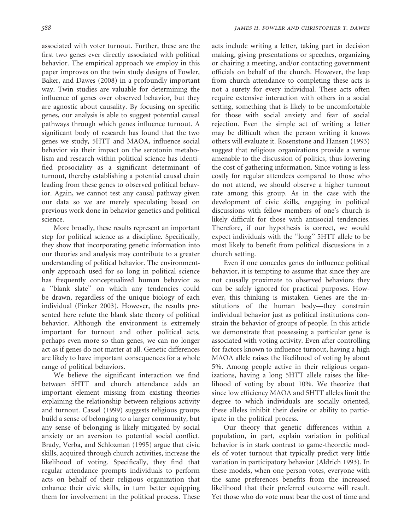associated with voter turnout. Further, these are the first two genes ever directly associated with political behavior. The empirical approach we employ in this paper improves on the twin study designs of Fowler, Baker, and Dawes (2008) in a profoundly important way. Twin studies are valuable for determining the influence of genes over observed behavior, but they are agnostic about causality. By focusing on specific genes, our analysis is able to suggest potential causal pathways through which genes influence turnout. A significant body of research has found that the two genes we study, 5HTT and MAOA, influence social behavior via their impact on the serotonin metabolism and research within political science has identified prosociality as a significant determinant of turnout, thereby establishing a potential causal chain leading from these genes to observed political behavior. Again, we cannot test any causal pathway given our data so we are merely speculating based on previous work done in behavior genetics and political science.

More broadly, these results represent an important step for political science as a discipline. Specifically, they show that incorporating genetic information into our theories and analysis may contribute to a greater understanding of political behavior. The environmentonly approach used for so long in political science has frequently conceptualized human behavior as a ''blank slate'' on which any tendencies could be drawn, regardless of the unique biology of each individual (Pinker 2003). However, the results presented here refute the blank slate theory of political behavior. Although the environment is extremely important for turnout and other political acts, perhaps even more so than genes, we can no longer act as if genes do not matter at all. Genetic differences are likely to have important consequences for a whole range of political behaviors.

We believe the significant interaction we find between 5HTT and church attendance adds an important element missing from existing theories explaining the relationship between religious activity and turnout. Cassel (1999) suggests religious groups build a sense of belonging to a larger community, but any sense of belonging is likely mitigated by social anxiety or an aversion to potential social conflict. Brady, Verba, and Schlozman (1995) argue that civic skills, acquired through church activities, increase the likelihood of voting. Specifically, they find that regular attendance prompts individuals to perform acts on behalf of their religious organization that enhance their civic skills, in turn better equipping them for involvement in the political process. These acts include writing a letter, taking part in decision making, giving presentations or speeches, organizing or chairing a meeting, and/or contacting government officials on behalf of the church. However, the leap from church attendance to completing these acts is not a surety for every individual. These acts often require extensive interaction with others in a social setting, something that is likely to be uncomfortable for those with social anxiety and fear of social rejection. Even the simple act of writing a letter may be difficult when the person writing it knows others will evaluate it. Rosenstone and Hansen (1993) suggest that religious organizations provide a venue amenable to the discussion of politics, thus lowering the cost of gathering information. Since voting is less costly for regular attendees compared to those who do not attend, we should observe a higher turnout rate among this group. As in the case with the development of civic skills, engaging in political discussions with fellow members of one's church is likely difficult for those with antisocial tendencies. Therefore, if our hypothesis is correct, we would expect individuals with the ''long'' 5HTT allele to be most likely to benefit from political discussions in a church setting.

Even if one concedes genes do influence political behavior, it is tempting to assume that since they are not causally proximate to observed behaviors they can be safely ignored for practical purposes. However, this thinking is mistaken. Genes are the institutions of the human body—they constrain individual behavior just as political institutions constrain the behavior of groups of people. In this article we demonstrate that possessing a particular gene is associated with voting activity. Even after controlling for factors known to influence turnout, having a high MAOA allele raises the likelihood of voting by about 5%. Among people active in their religious organizations, having a long 5HTT allele raises the likelihood of voting by about 10%. We theorize that since low efficiency MAOA and 5HTT alleles limit the degree to which individuals are socially oriented, these alleles inhibit their desire or ability to participate in the political process.

Our theory that genetic differences within a population, in part, explain variation in political behavior is in stark contrast to game-theoretic models of voter turnout that typically predict very little variation in participatory behavior (Aldrich 1993). In these models, when one person votes, everyone with the same preferences benefits from the increased likelihood that their preferred outcome will result. Yet those who do vote must bear the cost of time and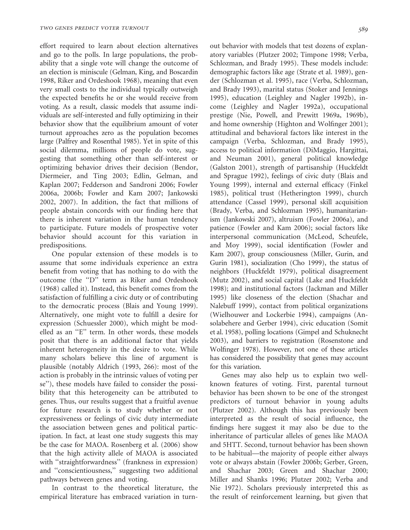effort required to learn about election alternatives and go to the polls. In large populations, the probability that a single vote will change the outcome of an election is miniscule (Gelman, King, and Boscardin 1998, Riker and Ordeshook 1968), meaning that even very small costs to the individual typically outweigh the expected benefits he or she would receive from voting. As a result, classic models that assume individuals are self-interested and fully optimizing in their behavior show that the equilibrium amount of voter turnout approaches zero as the population becomes large (Palfrey and Rosenthal 1985). Yet in spite of this social dilemma, millions of people do vote, suggesting that something other than self-interest or optimizing behavior drives their decision (Bendor, Diermeier, and Ting 2003; Edlin, Gelman, and Kaplan 2007; Fedderson and Sandroni 2006; Fowler 2006a, 2006b; Fowler and Kam 2007; Jankowski 2002, 2007). In addition, the fact that millions of people abstain concords with our finding here that there is inherent variation in the human tendency to participate. Future models of prospective voter behavior should account for this variation in predispositions.

One popular extension of these models is to assume that some individuals experience an extra benefit from voting that has nothing to do with the outcome (the ''D'' term as Riker and Ordeshook (1968) called it). Instead, this benefit comes from the satisfaction of fulfilling a civic duty or of contributing to the democratic process (Blais and Young 1999). Alternatively, one might vote to fulfill a desire for expression (Schuessler 2000), which might be modelled as an ''E'' term. In other words, these models posit that there is an additional factor that yields inherent heterogeneity in the desire to vote. While many scholars believe this line of argument is plausible (notably Aldrich (1993, 266): most of the action is probably in the intrinsic values of voting per se''), these models have failed to consider the possibility that this heterogeneity can be attributed to genes. Thus, our results suggest that a fruitful avenue for future research is to study whether or not expressiveness or feelings of civic duty intermediate the association between genes and political participation. In fact, at least one study suggests this may be the case for MAOA. Rosenberg et al. (2006) show that the high activity allele of MAOA is associated with ''straightforwardness'' (frankness in expression) and ''conscientiousness,'' suggesting two additional pathways between genes and voting.

In contrast to the theoretical literature, the empirical literature has embraced variation in turnout behavior with models that test dozens of explanatory variables (Plutzer 2002; Timpone 1998; Verba, Schlozman, and Brady 1995). These models include: demographic factors like age (Strate et al. 1989), gender (Schlozman et al. 1995), race (Verba, Schlozman, and Brady 1993), marital status (Stoker and Jennings 1995), education (Leighley and Nagler 1992b), income (Leighley and Nagler 1992a), occupational prestige (Nie, Powell, and Prewitt 1969a, 1969b), and home ownership (Highton and Wolfinger 2001); attitudinal and behavioral factors like interest in the campaign (Verba, Schlozman, and Brady 1995), access to political information (DiMaggio, Hargittai, and Neuman 2001), general political knowledge (Galston 2001), strength of partisanship (Huckfeldt and Sprague 1992), feelings of civic duty (Blais and Young 1999), internal and external efficacy (Finkel 1985), political trust (Hetherington 1999), church attendance (Cassel 1999), personal skill acquisition (Brady, Verba, and Schlozman 1995), humanitarianism (Jankowski 2007), altruism (Fowler 2006a), and patience (Fowler and Kam 2006); social factors like interpersonal communication (McLeod, Scheufele, and Moy 1999), social identification (Fowler and Kam 2007), group consciousness (Miller, Gurin, and Gurin 1981), socialization (Cho 1999), the status of neighbors (Huckfeldt 1979), political disagreement (Mutz 2002), and social capital (Lake and Huckfeldt 1998); and institutional factors (Jackman and Miller 1995) like closeness of the election (Shachar and Nalebuff 1999), contact from political organizations (Wielhouwer and Lockerbie 1994), campaigns (Ansolabehere and Gerber 1994), civic education (Somit et al. 1958), polling locations (Gimpel and Schuknecht 2003), and barriers to registration (Rosenstone and Wolfinger 1978). However, not one of these articles has considered the possibility that genes may account for this variation.

Genes may also help us to explain two wellknown features of voting. First, parental turnout behavior has been shown to be one of the strongest predictors of turnout behavior in young adults (Plutzer 2002). Although this has previously been interpreted as the result of social influence, the findings here suggest it may also be due to the inheritance of particular alleles of genes like MAOA and 5HTT. Second, turnout behavior has been shown to be habitual—the majority of people either always vote or always abstain (Fowler 2006b; Gerber, Green, and Shachar 2003; Green and Shachar 2000; Miller and Shanks 1996; Plutzer 2002; Verba and Nie 1972). Scholars previously interpreted this as the result of reinforcement learning, but given that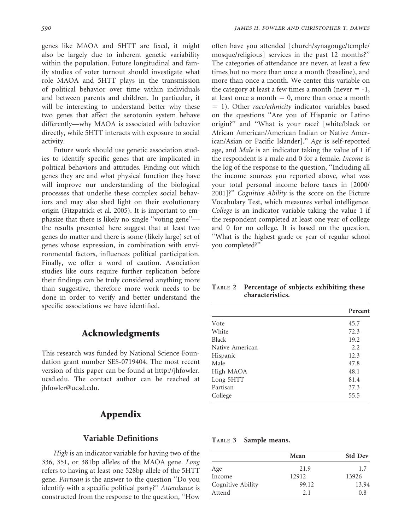genes like MAOA and 5HTT are fixed, it might also be largely due to inherent genetic variability within the population. Future longitudinal and family studies of voter turnout should investigate what role MAOA and 5HTT plays in the transmission of political behavior over time within individuals and between parents and children. In particular, it will be interesting to understand better why these two genes that affect the serotonin system behave differently—why MAOA is associated with behavior directly, while 5HTT interacts with exposure to social activity.

Future work should use genetic association studies to identify specific genes that are implicated in political behaviors and attitudes. Finding out which genes they are and what physical function they have will improve our understanding of the biological processes that underlie these complex social behaviors and may also shed light on their evolutionary origin (Fitzpatrick et al. 2005). It is important to emphasize that there is likely no single ''voting gene'' the results presented here suggest that at least two genes do matter and there is some (likely large) set of genes whose expression, in combination with environmental factors, influences political participation. Finally, we offer a word of caution. Association studies like ours require further replication before their findings can be truly considered anything more than suggestive, therefore more work needs to be done in order to verify and better understand the specific associations we have identified.

## Acknowledgments

This research was funded by National Science Foundation grant number SES-0719404. The most recent version of this paper can be found at http://jhfowler. ucsd.edu. The contact author can be reached at jhfowler@ucsd.edu.

# Appendix

#### Variable Definitions

High is an indicator variable for having two of the 336, 351, or 381bp alleles of the MAOA gene. Long refers to having at least one 528bp allele of the 5HTT gene. Partisan is the answer to the question ''Do you identify with a specific political party?" Attendance is constructed from the response to the question, ''How

often have you attended [church/synagouge/temple/ mosque/religious] services in the past 12 months?'' The categories of attendance are never, at least a few times but no more than once a month (baseline), and more than once a month. We center this variable on the category at least a few times a month (never  $= -1$ , at least once a month  $= 0$ , more than once a month  $= 1$ ). Other *race/ethnicity* indicator variables based on the questions ''Are you of Hispanic or Latino origin?'' and ''What is your race? [white/black or African American/American Indian or Native American/Asian or Pacific Islander].'' Age is self-reported age, and Male is an indicator taking the value of 1 if the respondent is a male and 0 for a female. Income is the log of the response to the question, ''Including all the income sources you reported above, what was your total personal income before taxes in [2000/ 2001]?'' Cognitive Ability is the score on the Picture Vocabulary Test, which measures verbal intelligence. College is an indicator variable taking the value 1 if the respondent completed at least one year of college and 0 for no college. It is based on the question, ''What is the highest grade or year of regular school you completed?''

| TABLE 2 Percentage of subjects exhibiting these |
|-------------------------------------------------|
| characteristics.                                |

|                 | Percent |
|-----------------|---------|
| Vote            | 45.7    |
| White           | 72.3    |
| <b>Black</b>    | 19.2    |
| Native American | 2.2     |
| Hispanic        | 12.3    |
| Male            | 47.8    |
| High MAOA       | 48.1    |
| Long 5HTT       | 81.4    |
| Partisan        | 37.3    |
| College         | 55.5    |
|                 |         |

#### TABLE 3 Sample means.

|                   | Mean  | <b>Std Dev</b> |
|-------------------|-------|----------------|
| Age               | 21.9  | 1.7            |
| Income            | 12912 | 13926          |
| Cognitive Ability | 99.12 | 13.94          |
| Attend            | 2.1   | 0.8            |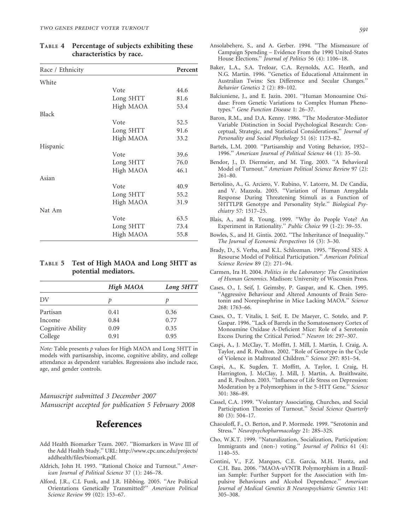| Race / Ethnicity |           | Percent |  |
|------------------|-----------|---------|--|
| White            |           |         |  |
|                  | Vote      | 44.6    |  |
|                  | Long 5HTT | 81.6    |  |
|                  | High MAOA | 53.4    |  |
| <b>Black</b>     |           |         |  |
|                  | Vote      | 52.5    |  |
|                  | Long 5HTT | 91.6    |  |
|                  | High MAOA | 33.2    |  |
| Hispanic         |           |         |  |
|                  | Vote      | 39.6    |  |
|                  | Long 5HTT | 76.0    |  |
|                  | High MAOA | 46.1    |  |
| Asian            |           |         |  |
|                  | Vote      | 40.9    |  |
|                  | Long 5HTT | 55.2    |  |
|                  | High MAOA | 31.9    |  |
| Nat Am           |           |         |  |
|                  | Vote      | 63.5    |  |
|                  | Long 5HTT | 73.4    |  |
|                  | High MAOA | 55.8    |  |

#### TABLE 4 Percentage of subjects exhibiting these characteristics by race.

#### TABLE 5 Test of High MAOA and Long 5HTT as potential mediators.

|                   | <b>High MAOA</b> | Long 5HTT |  |  |
|-------------------|------------------|-----------|--|--|
| DV                | D                | D         |  |  |
| Partisan          | 0.41             | 0.36      |  |  |
| Income            | 0.84             | 0.77      |  |  |
| Cognitive Ability | 0.09             | 0.35      |  |  |
| College           | 0.91             | 0.95      |  |  |

Note: Table presents p values for High MAOA and Long 5HTT in models with partisanship, income, cognitive ability, and college attendance as dependent variables. Regressions also include race, age, and gender controls.

Manuscript submitted 3 December 2007 Manuscript accepted for publication 5 February 2008

## References

- Add Health Biomarker Team. 2007. ''Biomarkers in Wave III of the Add Health Study.'' URL: http://www.cpc.unc.edu/projects/ addhealth/files/biomark.pdf.
- Aldrich, John H. 1993. "Rational Choice and Turnout." American Journal of Political Science 37 (1): 246–78.
- Alford, J.R., C.L Funk, and J.R. Hibbing. 2005. ''Are Political Orientations Genetically Transmitted?'' American Political Science Review 99 (02): 153–67.
- Ansolabehere, S., and A. Gerber. 1994. ''The Mismeasure of Campaign Spending – Evidence From the 1990 United-States House Elections.'' Journal of Politics 56 (4): 1106–18.
- Baker, L.A., S.A. Treloar, C.A. Reynolds, A.C. Heath, and N.G. Martin. 1996. ''Genetics of Educational Attainment in Australian Twins: Sex Difference and Secular Changes.'' Behavior Genetics 2 (2): 89–102.
- Balciuniene, J., and E. Jazin. 2001. ''Human Monoamine Oxidase: From Genetic Variations to Complex Human Phenotypes.'' Gene Function Disease 1: 26–37.
- Baron, R.M., and D.A. Kenny. 1986. ''The Moderator-Mediator Variable Distinction in Social Psychological Research: Conceptual, Strategic, and Statistical Considerations.'' Journal of Personality and Social Phychology 51 (6): 1173–82.
- Bartels, L.M. 2000. ''Partisanship and Voting Behavior, 1952– 1996.'' American Journal of Political Science 44 (1): 35–50.
- Bendor, J., D. Diermeier, and M. Ting. 2003. ''A Behavioral Model of Turnout.'' American Political Science Review 97 (2): 261–80.
- Bertolino, A., G. Arciero, V. Rubino, V. Latorre, M. De Candia, and V. Mazzola. 2005. ''Variation of Human Amygdala Response During Threatening Stimuli as a Function of 5HTTLPR Genotype and Personality Style.'' Biological Psychiatry 57: 1517–25.
- Blais, A., and R. Young. 1999. ''Why do People Vote? An Experiment in Rationality.'' Public Choice 99 (1-2): 39–55.
- Bowles, S., and H. Gintis. 2002. ''The Inheritance of Inequality.'' The Journal of Economic Perspectives 16 (3): 3–30.
- Brady, D., S. Verba, and K.L. Schlozman. 1995. ''Beyond SES: A Resourse Model of Political Participation.'' American Political Science Review 89 (2): 271–94.
- Carmen, Ira H. 2004. Politics in the Laboratory: The Constitution of Human Genomics. Madison: University of Wisconsin Press.
- Cases, O., I. Seif, J. Geimsby, P. Gaspar, and K. Chen. 1995. ''Aggressive Behaviour and Altered Amounts of Brain Serotonin and Norepinephrine in Mice Lacking MAOA.'' Science 268: 1763–66.
- Cases, O., T. Vitalis, I. Seif, E. De Maeyer, C. Sotelo, and P. Gaspar. 1996. ''Lack of Barrels in the Somatosensory Cortex of Monoamine Oxidase A-Deficient Mice: Role of a Serotonin Excess During the Critical Period.'' Neuron 16: 297–307.
- Caspi, A., J. McClay, T. Moffitt, J. Mill, J. Martin, I. Craig, A. Taylor, and R. Poulton. 2002. ''Role of Genotype in the Cycle of Violence in Maltreated Children.'' Science 297: 851–54.
- Caspi, A., K. Sugden, T. Moffitt, A. Taylor, I. Craig, H. Harrington, J. McClay, J. Mill, J. Martin, A. Braithwaite, and R. Poulton. 2003. ''Influence of Life Stress on Depression: Moderation by a Polymorphism in the 5-HTT Gene.'' Science 301: 386–89.
- Cassel, C.A. 1999. ''Voluntary Associating, Churches, and Social Participation Theories of Turnout.'' Social Science Quarterly 80 (3): 504–17.
- Chaouloff, F., O. Berton, and P. Mormede. 1999. ''Serotonin and Stress.'' Neuropsychopharmacology 21: 28S–32S.
- Cho, W.K.T. 1999. ''Naturalization, Socialization, Participation: Immigrants and (non-) voting.'' Journal of Politics 61 (4): 1140–55.
- Contini, V., F.Z. Marques, C.E. Garcia, M.H. Huntz, and C.H. Bau. 2006. ''MAOA-uVNTR Polymorphism in a Brazilian Sample: Further Support for the Association with Impulsive Behaviours and Alcohol Dependence." American Journal of Medical Genetics B Neurospsychiatric Genetics 141: 305–308.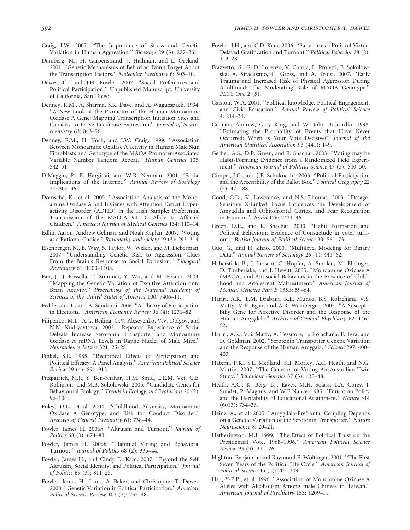- Craig, I.W. 2007. ''The Importance of Stress and Genetic Variation in Human Aggression.'' Bioessays 29 (3): 227–36.
- Damberg, M., H. Garpenstrand, J. Hallman, and L. Oreland. 2001. ''Genetic Mechanisms of Behavior: Don't Forget About the Transcription Factors.'' Molecular Psychiatry 6: 503–10.
- Dawes, C., and J.H. Fowler. 2007. ''Social Preferences and Political Participation.'' Unpublished Manuscript. University of California, San Diego.
- Denney, R.M., A. Sharma, S.K. Dave, and A. Waguespack. 1994. ''A New Look at the Promotor of the Human Monoamine Oxidase A Gene: Mapping Transcription Initiation Sites and Capacity to Drive Luciferase Expression.'' Journal of Neurochemistry 63: 843–56.
- Denney, R.M., H. Koch, and I.W. Craig. 1999. ''Association Between Monoamine Oxidase A activity in Human Male Skin Fibroblasts and Genotype of the MAOA Promoter-Associated Variable Number Tandom Repeat.'' Human Genetics 105: 542–51.
- DiMaggio, P., E. Hargittai, and W.R. Neuman. 2001. ''Social Implications of the Internet.'' Annual Review of Sociology 27: 307–36.
- Domsche, K., et al. 2005. ''Association Analysis of the Monoamine Oxidase A and B Genes with Attention Deficit Hyperactivity Disorder (ADHD) in the Irish Sample: Preferential Transmission of the MAO-A 941 G Allele to Affected Children.'' American Journal of Medical Genetics 134: 110–14.
- Edlin, Aaron, Andrew Gelman, and Noah Kaplan. 2007. ''Voting as a Rational Choice.'' Rationality and society 19 (3): 293–314.
- Elsenberger, N., B. Way, S. Taylor, W. Welch, and M. Lieberman. 2007. ''Understanding Genetic Risk to Aggression: Clues From the Brain's Response to Social Exclusion.'' Biological Phychiatry 61: 1100–1108.
- Fan, J., J. Fossella, T. Sommer, Y. Wu, and M. Posner. 2003. ''Mapping the Genetic Variation of Excutive Attention onto Brian Activity.'' Proceedings of the National Academy of Sciences of the United States of America 100: 7406–11.
- Fedderson, T., and A. Sandroni. 2006. ''A Theory of Participation in Elections.'' American Economic Review 96 (4): 1271–82.
- Filipenko, M.L., A.G. Beilina, O.V. Aleseyenko, V.V. Dolgov, and N.N. Kudryavtseva. 2002. ''Repeated Experience of Social Defeats Increase Serotonin Transporter and Monoamine Oxidase A mRNA Levels in Raphe Nuclei of Male Mice.'' Neuroscience Letters 321: 25–28.
- Finkel, S.E. 1985. ''Reciprocal Effects of Participation and Political Efficacy: A Panel Analysis.'' American Political Science Review 29 (4): 891–913.
- Fitzpatrick, M.J., Y. Ben-Shahar, H.M. Smid, L.E.M. Vet, G.E. Robinson, and M.B. Sokolowski. 2005. ''Candidate Genes for Behavioural Ecology.'' Trends in Ecology and Evolutions 20 (2): 96–104.
- Foley, D.L., et al. 2004. ''Childhood Adversity, Monoamine Oxidase A Genotype, and Risk for Conduct Disorder.'' Archives of General Psychiatry 61: 738–44.
- Fowler, James H. 2006a. "Altruism and Turnout." Journal of Politics 68 (3): 674–83.
- Fowler, James H. 2006b. ''Habitual Voting and Behavioral Turnout.'' Journal of Politics 68 (2): 335–44.
- Fowler, James H., and Cindy D. Kam. 2007. ''Beyond the Self: Altruism, Social Identity, and Political Participation.'' Journal of Politics 69 (3): 811–25.
- Fowler, James H., Laura A. Baker, and Christopher T. Dawes. 2008. ''Genetic Variation in Political Participation.'' American Political Science Review 102 (2): 233–48.
- Fowler, J.H., and C.D. Kam. 2006. ''Patience as a Political Virtue: Delayed Gratification and Turnout.'' Political Behavior 28 (2): 113–28.
- Frazzetto, G., G. Di Lorenzo, V. Carola, L. Proietti, E. Sokolowska, A. Siracusano, C. Gross, and A. Troisi. 2007. ''Early Trauma and Increased Risk of Physical Aggression During Adulthood: The Moderating Role of MAOA Genotype.'' PLOS One 2 (5).
- Galston, W.A. 2001. ''Political knowledge, Political Engagement, and Civic Education.'' Annual Review of Political Science 4: 214–34.
- Gelman, Andrew, Gary King, and W. John Boscardin. 1998. ''Estimating the Probability of Events that Have Never Occurred: When is Your Vote Decisive?'' Journal of the American Statistical Association 93 (441): 1–9.
- Gerber, A.S., D.P. Green, and R. Shachar. 2003. ''Voting may be Habit-Forming: Evidence from a Randomized Field Experiment." American Journal of Political Science 47 (3): 540–50.
- Gimpel, J.G., and J.E. Schuknecht. 2003. ''Political Participation and the Accessibility of the Ballot Box.'' Political Geography 22 (5): 471–88.
- Good, C.D., K. Lawerence, and N.S. Thomas. 2003. ''Desage-Sensitive X-Linked Locus Influences the Development of Amygdala and Orbitofrontal Cortex, and Fear Recognition in Humans.'' Brain 126: 2431–46.
- Green, D.P., and R. Shachar. 2000. ''Habit Formation and Political Behaviour: Evidence of Consuetude in voter turnout.'' British Journal of Political Science 30: 561–73.
- Guo, G., and H. Zhao. 2000. ''Multilevel Modeling for Binary Data.'' Annual Review of Sociology 26 (1): 441–62.
- Haberstick, B., J. Lessem, C. Hopfer, A. Smolen, M. Ehringer, D. Timberlake, and J. Hewitt. 2005. ''Monoamine Oxidase A (MAOA) and Antisocial Behaviors in the Presence of Childhood and Adolescent Maltreatment." American Journal of Medical Genetics Part B 135B: 59–64.
- Hariri, A.R., E.M. Drabant, K.E. Munoz, B.S. Kolachana, V.S. Matty, M.F. Egan, and A.R. Weinberger. 2005. ''A Susceptibiliy Gene for Affective Disorder and the Response of the Human Amygdala.'' Archives of General Phychiatry 62: 146– 52.
- Hariri, A.R., V.S. Matty, A. Tessitore, B. Kolachana, F. Fera, and D. Goldman. 2002. ''Serotonin Transporter Genetic Variation and the Response of the Human Amygala.'' Science 297: 400– 403.
- Hatemi, P.K., S.E. Medland, K.I. Morley, A.C. Heath, and N.G. Martin. 2007. ''The Genetics of Voting An Australian Twin Study.'' Behaviour Genetics 37 (3): 435–48.
- Heath, A.C., K. Berg, L.J. Eaves, M.H. Solass, L.A. Corey, J. Sundet, P. Magnus, and W.E Nance. 1985. ''Education Policy and the Heritability of Educational Attainment.'' Nature 314 (6013): 734–36.
- Heinz, A., et al. 2005. ''Amygdala-Prefrontal Coupling Depends on a Genetic Variation of the Serotonin Transporter.'' Nature Neuroscience 8: 20–21.
- Hetherington, M.J. 1999. ''The Effect of Political Trust on the Presidential Vote, 1968–1996.'' American Political Science Review 93 (3): 311–26.
- Highton, Benjamin, and Raymond E. Wolfinger. 2001. ''The First Seven Years of the Political Life Cycle." American Journal of Political Science 45 (1): 202–209.
- Hsu, Y-P.P., et al. 1996. ''Association of Monoamine Oxidase A Alleles with Alcoholism Among male Chinese in Taiwan.'' American Journal of Psychiatry 153: 1209–11.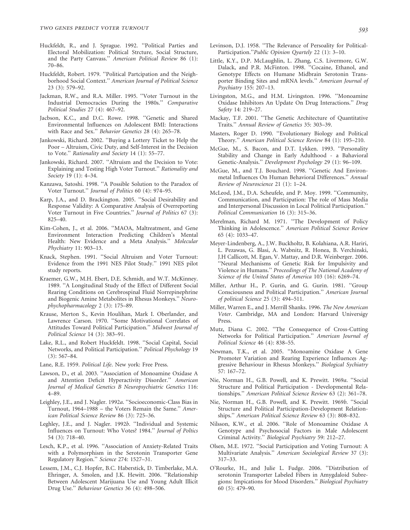- Huckfeldt, R., and J. Sprague. 1992. ''Political Parties and Electoral Mobilization: Political Strcture, Social Structure, and the Party Canvass.'' American Political Review 86 (1): 70–86.
- Huckfeldt, Robert. 1979. ''Political Partcipation and the Neighborhood Social Context.'' American Journal of Political Science 23 (3): 579–92.
- Jackman, R.W., and R.A. Miller. 1995. ''Voter Turnout in the Industrial Democracies During the 1980s.'' Comparative Political Studies 27 (4): 467–92.
- Jacbson, K.C., and D.C. Rowe. 1998. ''Genetic and Shared Environmental Influences on Adolescent BMI: Interactions with Race and Sex.'' Behavior Genetics 28 (4): 265–78.
- Jankowski, Richard. 2002. ''Buying a Lottery Ticket to Help the Poor – Altruism, Civic Duty, and Self-Interest in the Decision to Vote.'' Rationality and Society 14 (1): 55–77.
- Jankowski, Richard. 2007. ''Altruism and the Decision to Vote: Explaining and Testing High Voter Turnout.'' Rationality and Society 19 (1): 4–34.
- Kanzawa, Satoshi. 1998. ''A Possible Solution to the Paradox of Voter Turnout.'' Journal of Politics 60 (4): 974–95.
- Karp, J.A., and D. Brackington. 2005. ''Social Desirability and Response Validity: A Comparative Analysis of Overreporting Voter Turnout in Five Countries.'' Journal of Politics 67 (3): 825–40.
- Kim-Cohen, J., et al. 2006. ''MAOA, Maltreatment, and Gene Environment Interaction Predicting Children's Mental Health: New Evidence and a Meta Analysis." Molecular Phychiatry 11: 903–13.
- Knack, Stephen. 1991. ''Social Altruism and Voter Turnout: Evidence from the 1991 NES Pilot Study.'' 1991 NES pilot study reports.
- Kraemer, G.W., M.H. Ebert, D.E. Schmidt, and W.T. McKinney. 1989. ''A Longitudinal Study of the Effect of Different Social Rearing Conditions on Cerebrospinal Fluid Norrepinephrine and Biogenic Amine Metabolites in Rhesus Monkeys.'' Neurophychopharmacology 2 (3): 175–89.
- Krause, Merton S., Kevin Houlihan, Mark I. Oberlander, and Lawrence Carson. 1970. ''Some Motivational Correlates of Attitudes Toward Political Participation.'' Midwest Journal of Political Science 14 (3): 383–91.
- Lake, R.L., and Robert Huckfeldt. 1998. ''Social Capital, Social Networks, and Political Participation.'' Political Phychology 19 (3): 567–84.
- Lane, R.E. 1959. Political Life. New york: Free Press.
- Lawson, D., et al. 2003. ''Association of Monoamine Oxidase A and Attention Deficit Hyperactivity Disorder.'' American Journal of Medical Genetics B Neuropsychiatric Genetics 116: 4–89.
- Leighley, J.E., and J. Nagler. 1992a. ''Socioeconomic-Class Bias in Turnout, 1964–1988 – the Voters Remain the Same.'' American Political Science Review 86 (3): 725–36.
- Leghley, J.E., and J. Nagler. 1992b. ''Individual and Systemic Influences on Turnout: Who Votes? 1984.'' Journal of Poltics 54 (3): 718–40.
- Lesch, K.P., et al. 1996. ''Association of Anxiety-Related Traits with a Polymorphism in the Serotonin Transporter Gene Regulatory Region.'' Science 274: 1527–31.
- Lessem, J.M., C.J. Hopfer, B.C. Haberstick, D. Timberlake, M.A. Ehringer, A. Smolen, and J.K. Hewitt. 2006. ''Relationship Between Adolescent Marijuana Use and Young Adult Illicit Drug Use.'' Behaviour Genetics 36 (4): 498–506.
- Levinson, D.J. 1958. ''The Relevance of Persoality for Political-Participation.''Public Opinion Qyartely 22 (1): 3–10.
- Little, K.Y., D.P. McLaughlin, L. Zhang, C.S. Livermore, G.W. Dalack, and P.R. McFinton. 1998. ''Cocaine, Ethanol, and Genotype Effects on Humane Midbrain Serotonin Transporter Binding Sites and mRNA levels.'' American Journal of Psychiatry 155: 207–13.
- Livingston, M.G., and H.M. Livingston. 1996. ''Monoamine Oxidase Inhibitors An Update On Drug Interactions.'' Drug Safety 14: 219–27.
- Mackay, T.F. 2001. ''The Genetic Architecture of Quantitative Traits.'' Annual Review of Genetics 35: 303–39.
- Masters, Roger D. 1990. ''Evolutionary Biology and Political Theory.'' American Political Science Review 84 (1): 195–210.
- McGue, M., S. Bacon, and D.T. Lykken. 1993. ''Personality Stability and Change in Early Adulthood - a Bahavioral Genetic-Analysis.'' Development Psychology 29 (1): 96–109.
- McGue, M., and T.J. Bouchard. 1998. ''Genetic And Environmetal Influences On Human Behavioral Differences.'' Annual Review of Neuroscience 21 (1): 1–24.
- McLeod, J.M., D.A. Scheufele, and P. Moy. 1999. ''Community, Communication, and Participation: The role of Mass Media and Interpersonal Discussion in Local Political Participation.'' Political Communication 16 (3): 315–36.
- Merelman, Richard M. 1971. ''The Development of Policy Thinking in Adolescence.'' American Political Science Review 65 (4): 1033–47.
- Meyer-Lindenberg, A., J.W. Buckholtz, B. Kolahiana, A.R. Hariri, L. Pezawas, G. Blasi, A. Wabnitz, R. Honea, B. Verchinski, J.H Callicott, M. Egan, V. Mattay, and D.R. Weinberger. 2006. ''Neural Mechanisms of Genetic Risk for Impulsivity and Violence in Humans.'' Proceedings of The National Academy of Science of the United States of America 103 (16): 6269–74.
- Miller, Arthur H., P. Gurin, and G. Gurin. 1981. ''Group Consciousness and Political Participation.'' American Journal of political Science 25 (3): 494–511.
- Miller, Warren E., and J. Merrill Shanks. 1996. The New American Voter. Cambridge, MA and London: Harvard Universigy Press.
- Mutz, Diana C. 2002. ''The Consequence of Cross-Cutting Networks for Political Participation.'' American Journal of Political Science 46 (4): 838–55.
- Newman, T.K., et al. 2005. ''Monoamine Oxidase A Gene Promoter Variation and Rearing Experience Influences Aggressive Behaviour in Rhesus Monkeys.'' Biological Sychiatry 57: 167–72.
- Nie, Norman H., G.B. Powell, and K. Prewitt. 1969a. ''Social Structure and Political Participation - Developmental Relationships.'' American Political Science Review 63 (2): 361–78.
- Nie, Norman H., G.B. Powell, and K. Prewitt. 1969b. ''Social Structure and Political Participation-Development Relationships.'' American Political Science Review 63 (3): 808–832.
- Nilsson, K.W., et al. 2006. ''Role of Monoamine Oxidase A Genotype and Psychosocial Factors in Male Adolescent Criminal Activity.'' Biological Psychiatry 59: 212–27.
- Olsen, M.E. 1972. ''Social Participation and Voting Turnout: A Multivariate Analysis.'' American Sociological Review 37 (3): 317–33.
- O'Rourke, H., and Julie L. Fudge. 2006. ''Distribution of serotonin Transporter Labeled Fibers in Amygdaloid Subregions: Impications for Mood Disorders.'' Biological Psychiatry 60 (5): 479–90.